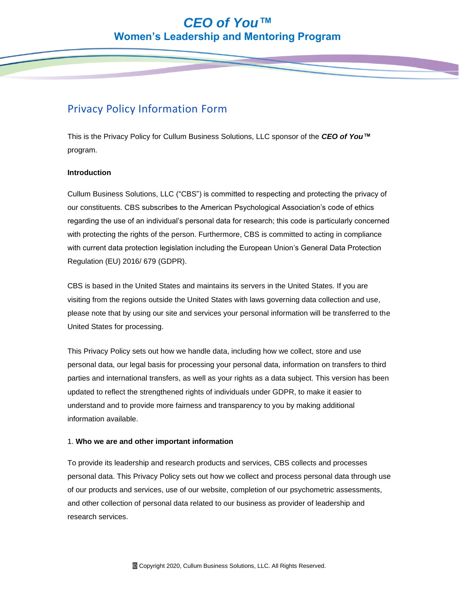# Privacy Policy Information Form

This is the Privacy Policy for Cullum Business Solutions, LLC sponsor of the *CEO of You™* program.

## **Introduction**

Cullum Business Solutions, LLC ("CBS") is committed to respecting and protecting the privacy of our constituents. CBS subscribes to the American Psychological Association's code of ethics regarding the use of an individual's personal data for research; this code is particularly concerned with protecting the rights of the person. Furthermore, CBS is committed to acting in compliance with current data protection legislation including the European Union's General Data Protection Regulation (EU) 2016/ 679 (GDPR).

CBS is based in the United States and maintains its servers in the United States. If you are visiting from the regions outside the United States with laws governing data collection and use, please note that by using our site and services your personal information will be transferred to the United States for processing.

This Privacy Policy sets out how we handle data, including how we collect, store and use personal data, our legal basis for processing your personal data, information on transfers to third parties and international transfers, as well as your rights as a data subject. This version has been updated to reflect the strengthened rights of individuals under GDPR, to make it easier to understand and to provide more fairness and transparency to you by making additional information available.

# 1. **Who we are and other important information**

To provide its leadership and research products and services, CBS collects and processes personal data. This Privacy Policy sets out how we collect and process personal data through use of our products and services, use of our website, completion of our psychometric assessments, and other collection of personal data related to our business as provider of leadership and research services.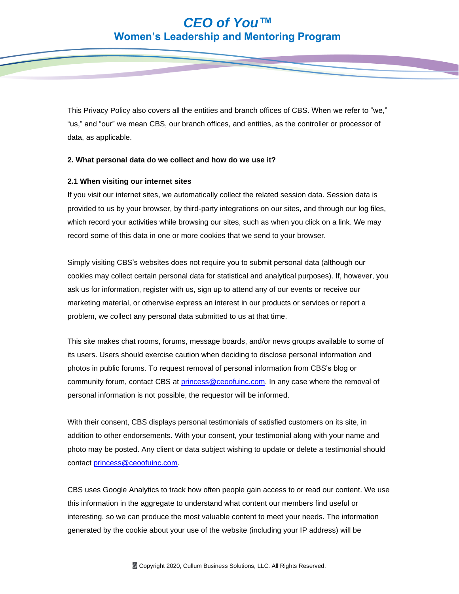This Privacy Policy also covers all the entities and branch offices of CBS. When we refer to "we," "us," and "our" we mean CBS, our branch offices, and entities, as the controller or processor of data, as applicable.

### **2. What personal data do we collect and how do we use it?**

### **2.1 When visiting our internet sites**

If you visit our internet sites, we automatically collect the related session data. Session data is provided to us by your browser, by third-party integrations on our sites, and through our log files, which record your activities while browsing our sites, such as when you click on a link. We may record some of this data in one or more cookies that we send to your browser.

Simply visiting CBS's websites does not require you to submit personal data (although our cookies may collect certain personal data for statistical and analytical purposes). If, however, you ask us for information, register with us, sign up to attend any of our events or receive our marketing material, or otherwise express an interest in our products or services or report a problem, we collect any personal data submitted to us at that time.

This site makes chat rooms, forums, message boards, and/or news groups available to some of its users. Users should exercise caution when deciding to disclose personal information and photos in public forums. To request removal of personal information from CBS's blog or community forum, contact CBS at [princess@ceoofuinc.com.](princess@ceoofuinc.com) In any case where the removal of personal information is not possible, the requestor will be informed.

With their consent, CBS displays personal testimonials of satisfied customers on its site, in addition to other endorsements. With your consent, your testimonial along with your name and photo may be posted. Any client or data subject wishing to update or delete a testimonial should contact [princess@ceoofuinc.com.](princess@ceoofuinc.com)

CBS uses Google Analytics to track how often people gain access to or read our content. We use this information in the aggregate to understand what content our members find useful or interesting, so we can produce the most valuable content to meet your needs. The information generated by the cookie about your use of the website (including your IP address) will be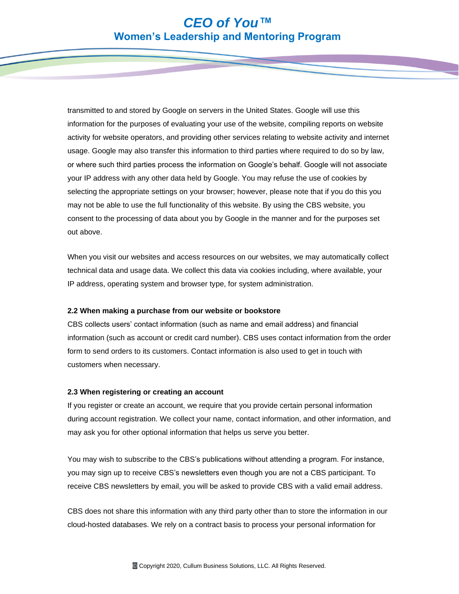transmitted to and stored by Google on servers in the United States. Google will use this information for the purposes of evaluating your use of the website, compiling reports on website activity for website operators, and providing other services relating to website activity and internet usage. Google may also transfer this information to third parties where required to do so by law, or where such third parties process the information on Google's behalf. Google will not associate your IP address with any other data held by Google. You may refuse the use of cookies by selecting the appropriate settings on your browser; however, please note that if you do this you may not be able to use the full functionality of this website. By using the CBS website, you consent to the processing of data about you by Google in the manner and for the purposes set out above.

When you visit our websites and access resources on our websites, we may automatically collect technical data and usage data. We collect this data via cookies including, where available, your IP address, operating system and browser type, for system administration.

#### **2.2 When making a purchase from our website or bookstore**

CBS collects users' contact information (such as name and email address) and financial information (such as account or credit card number). CBS uses contact information from the order form to send orders to its customers. Contact information is also used to get in touch with customers when necessary.

#### **2.3 When registering or creating an account**

If you register or create an account, we require that you provide certain personal information during account registration. We collect your name, contact information, and other information, and may ask you for other optional information that helps us serve you better.

You may wish to subscribe to the CBS's publications without attending a program. For instance, you may sign up to receive CBS's newsletters even though you are not a CBS participant. To receive CBS newsletters by email, you will be asked to provide CBS with a valid email address.

CBS does not share this information with any third party other than to store the information in our cloud-hosted databases. We rely on a contract basis to process your personal information for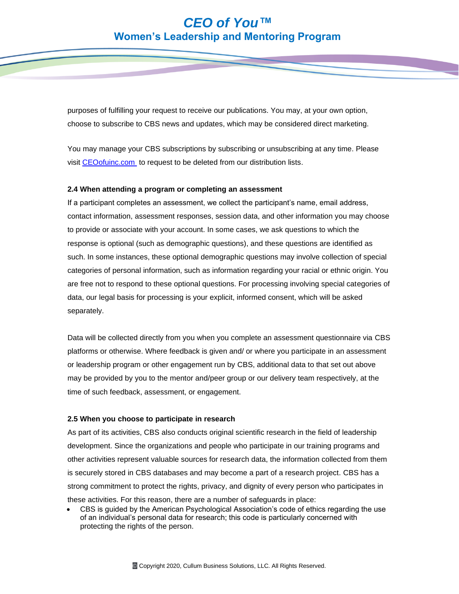purposes of fulfilling your request to receive our publications. You may, at your own option, choose to subscribe to CBS news and updates, which may be considered direct marketing.

You may manage your CBS subscriptions by subscribing or unsubscribing at any time. Please visit [CEOofuinc.com](ceoofuinc.com) to request to be deleted from our distribution lists.

### **2.4 When attending a program or completing an assessment**

If a participant completes an assessment, we collect the participant's name, email address, contact information, assessment responses, session data, and other information you may choose to provide or associate with your account. In some cases, we ask questions to which the response is optional (such as demographic questions), and these questions are identified as such. In some instances, these optional demographic questions may involve collection of special categories of personal information, such as information regarding your racial or ethnic origin. You are free not to respond to these optional questions. For processing involving special categories of data, our legal basis for processing is your explicit, informed consent, which will be asked separately.

Data will be collected directly from you when you complete an assessment questionnaire via CBS platforms or otherwise. Where feedback is given and/ or where you participate in an assessment or leadership program or other engagement run by CBS, additional data to that set out above may be provided by you to the mentor and/peer group or our delivery team respectively, at the time of such feedback, assessment, or engagement.

#### **2.5 When you choose to participate in research**

As part of its activities, CBS also conducts original scientific research in the field of leadership development. Since the organizations and people who participate in our training programs and other activities represent valuable sources for research data, the information collected from them is securely stored in CBS databases and may become a part of a research project. CBS has a strong commitment to protect the rights, privacy, and dignity of every person who participates in these activities. For this reason, there are a number of safeguards in place:

• CBS is guided by the American Psychological Association's code of ethics regarding the use of an individual's personal data for research; this code is particularly concerned with protecting the rights of the person.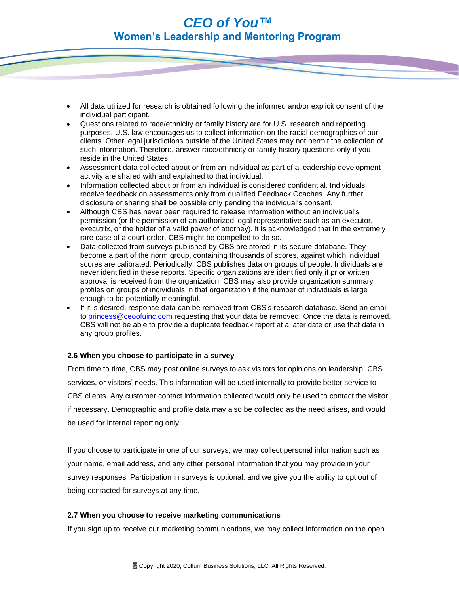- All data utilized for research is obtained following the informed and/or explicit consent of the individual participant.
- Questions related to race/ethnicity or family history are for U.S. research and reporting purposes. U.S. law encourages us to collect information on the racial demographics of our clients. Other legal jurisdictions outside of the United States may not permit the collection of such information. Therefore, answer race/ethnicity or family history questions only if you reside in the United States.
- Assessment data collected about or from an individual as part of a leadership development activity are shared with and explained to that individual.
- Information collected about or from an individual is considered confidential. Individuals receive feedback on assessments only from qualified Feedback Coaches. Any further disclosure or sharing shall be possible only pending the individual's consent.
- Although CBS has never been required to release information without an individual's permission (or the permission of an authorized legal representative such as an executor, executrix, or the holder of a valid power of attorney), it is acknowledged that in the extremely rare case of a court order, CBS might be compelled to do so.
- Data collected from surveys published by CBS are stored in its secure database. They become a part of the norm group, containing thousands of scores, against which individual scores are calibrated. Periodically, CBS publishes data on groups of people. Individuals are never identified in these reports. Specific organizations are identified only if prior written approval is received from the organization. CBS may also provide organization summary profiles on groups of individuals in that organization if the number of individuals is large enough to be potentially meaningful.
- If it is desired, response data can be removed from CBS's research database. Send an email to [princess@ceoofuinc.com](princess@ceoofuinc.com ) requesting that your data be removed. Once the data is removed, CBS will not be able to provide a duplicate feedback report at a later date or use that data in any group profiles.

# **2.6 When you choose to participate in a survey**

From time to time, CBS may post online surveys to ask visitors for opinions on leadership, CBS services, or visitors' needs. This information will be used internally to provide better service to CBS clients. Any customer contact information collected would only be used to contact the visitor if necessary. Demographic and profile data may also be collected as the need arises, and would be used for internal reporting only.

If you choose to participate in one of our surveys, we may collect personal information such as your name, email address, and any other personal information that you may provide in your survey responses. Participation in surveys is optional, and we give you the ability to opt out of being contacted for surveys at any time.

### **2.7 When you choose to receive marketing communications**

If you sign up to receive our marketing communications, we may collect information on the open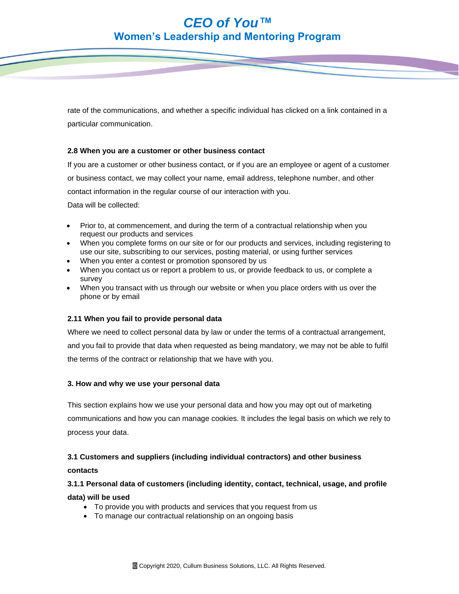rate of the communications, and whether a specific individual has clicked on a link contained in a particular communication.

# **2.8 When you are a customer or other business contact**

If you are a customer or other business contact, or if you are an employee or agent of a customer or business contact, we may collect your name, email address, telephone number, and other contact information in the regular course of our interaction with you.

Data will be collected:

- Prior to, at commencement, and during the term of a contractual relationship when you request our products and services
- When you complete forms on our site or for our products and services, including registering to use our site, subscribing to our services, posting material, or using further services
- When you enter a contest or promotion sponsored by us
- When you contact us or report a problem to us, or provide feedback to us, or complete a survey
- When you transact with us through our website or when you place orders with us over the phone or by email

### **2.11 When you fail to provide personal data**

Where we need to collect personal data by law or under the terms of a contractual arrangement, and you fail to provide that data when requested as being mandatory, we may not be able to fulfil the terms of the contract or relationship that we have with you.

### **3. How and why we use your personal data**

This section explains how we use your personal data and how you may opt out of marketing communications and how you can manage cookies. It includes the legal basis on which we rely to process your data.

# **3.1 Customers and suppliers (including individual contractors) and other business**

### **contacts**

# **3.1.1 Personal data of customers (including identity, contact, technical, usage, and profile**

**data) will be used**

- To provide you with products and services that you request from us
- To manage our contractual relationship on an ongoing basis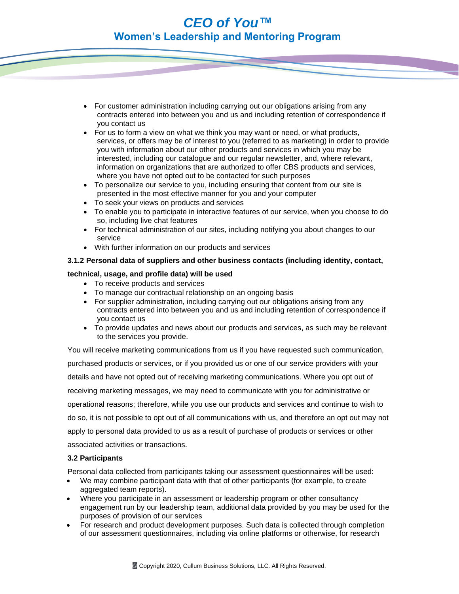- For customer administration including carrying out our obligations arising from any contracts entered into between you and us and including retention of correspondence if you contact us
- For us to form a view on what we think you may want or need, or what products, services, or offers may be of interest to you (referred to as marketing) in order to provide you with information about our other products and services in which you may be interested, including our catalogue and our regular newsletter, and, where relevant, information on organizations that are authorized to offer CBS products and services, where you have not opted out to be contacted for such purposes
- To personalize our service to you, including ensuring that content from our site is presented in the most effective manner for you and your computer
- To seek your views on products and services
- To enable you to participate in interactive features of our service, when you choose to do so, including live chat features
- For technical administration of our sites, including notifying you about changes to our service
- With further information on our products and services

## **3.1.2 Personal data of suppliers and other business contacts (including identity, contact,**

## **technical, usage, and profile data) will be used**

- To receive products and services
- To manage our contractual relationship on an ongoing basis
- For supplier administration, including carrying out our obligations arising from any contracts entered into between you and us and including retention of correspondence if you contact us
- To provide updates and news about our products and services, as such may be relevant to the services you provide.

You will receive marketing communications from us if you have requested such communication, purchased products or services, or if you provided us or one of our service providers with your details and have not opted out of receiving marketing communications. Where you opt out of receiving marketing messages, we may need to communicate with you for administrative or operational reasons; therefore, while you use our products and services and continue to wish to do so, it is not possible to opt out of all communications with us, and therefore an opt out may not apply to personal data provided to us as a result of purchase of products or services or other associated activities or transactions.

### **3.2 Participants**

Personal data collected from participants taking our assessment questionnaires will be used:

- We may combine participant data with that of other participants (for example, to create aggregated team reports).
- Where you participate in an assessment or leadership program or other consultancy engagement run by our leadership team, additional data provided by you may be used for the purposes of provision of our services
- For research and product development purposes. Such data is collected through completion of our assessment questionnaires, including via online platforms or otherwise, for research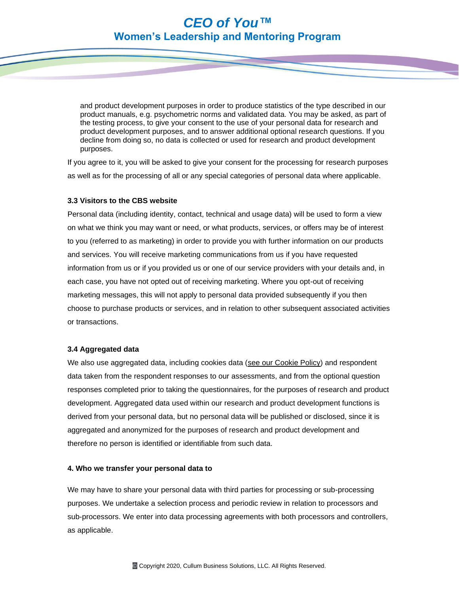and product development purposes in order to produce statistics of the type described in our product manuals, e.g. psychometric norms and validated data. You may be asked, as part of the testing process, to give your consent to the use of your personal data for research and product development purposes, and to answer additional optional research questions. If you decline from doing so, no data is collected or used for research and product development purposes.

If you agree to it, you will be asked to give your consent for the processing for research purposes as well as for the processing of all or any special categories of personal data where applicable.

### **3.3 Visitors to the CBS website**

Personal data (including identity, contact, technical and usage data) will be used to form a view on what we think you may want or need, or what products, services, or offers may be of interest to you (referred to as marketing) in order to provide you with further information on our products and services. You will receive marketing communications from us if you have requested information from us or if you provided us or one of our service providers with your details and, in each case, you have not opted out of receiving marketing. Where you opt-out of receiving marketing messages, this will not apply to personal data provided subsequently if you then choose to purchase products or services, and in relation to other subsequent associated activities or transactions.

#### **3.4 Aggregated data**

We also use aggregated data, including cookies data (see our [Cookie](https://www.ccl.org/cookie-policy/) Policy) and respondent data taken from the respondent responses to our assessments, and from the optional question responses completed prior to taking the questionnaires, for the purposes of research and product development. Aggregated data used within our research and product development functions is derived from your personal data, but no personal data will be published or disclosed, since it is aggregated and anonymized for the purposes of research and product development and therefore no person is identified or identifiable from such data.

#### **4. Who we transfer your personal data to**

We may have to share your personal data with third parties for processing or sub-processing purposes. We undertake a selection process and periodic review in relation to processors and sub-processors. We enter into data processing agreements with both processors and controllers, as applicable.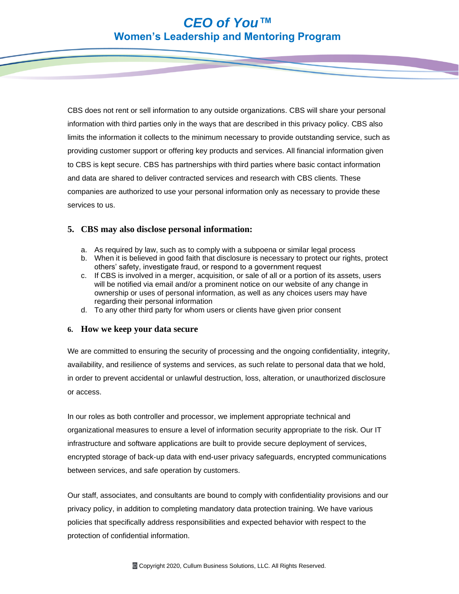CBS does not rent or sell information to any outside organizations. CBS will share your personal information with third parties only in the ways that are described in this privacy policy. CBS also limits the information it collects to the minimum necessary to provide outstanding service, such as providing customer support or offering key products and services. All financial information given to CBS is kept secure. CBS has partnerships with third parties where basic contact information and data are shared to deliver contracted services and research with CBS clients. These companies are authorized to use your personal information only as necessary to provide these services to us.

# **5. CBS may also disclose personal information:**

- a. As required by law, such as to comply with a subpoena or similar legal process
- b. When it is believed in good faith that disclosure is necessary to protect our rights, protect others' safety, investigate fraud, or respond to a government request
- c. If CBS is involved in a merger, acquisition, or sale of all or a portion of its assets, users will be notified via email and/or a prominent notice on our website of any change in ownership or uses of personal information, as well as any choices users may have regarding their personal information
- d. To any other third party for whom users or clients have given prior consent

# **6. How we keep your data secure**

We are committed to ensuring the security of processing and the ongoing confidentiality, integrity, availability, and resilience of systems and services, as such relate to personal data that we hold, in order to prevent accidental or unlawful destruction, loss, alteration, or unauthorized disclosure or access.

In our roles as both controller and processor, we implement appropriate technical and organizational measures to ensure a level of information security appropriate to the risk. Our IT infrastructure and software applications are built to provide secure deployment of services, encrypted storage of back-up data with end-user privacy safeguards, encrypted communications between services, and safe operation by customers.

Our staff, associates, and consultants are bound to comply with confidentiality provisions and our privacy policy, in addition to completing mandatory data protection training. We have various policies that specifically address responsibilities and expected behavior with respect to the protection of confidential information.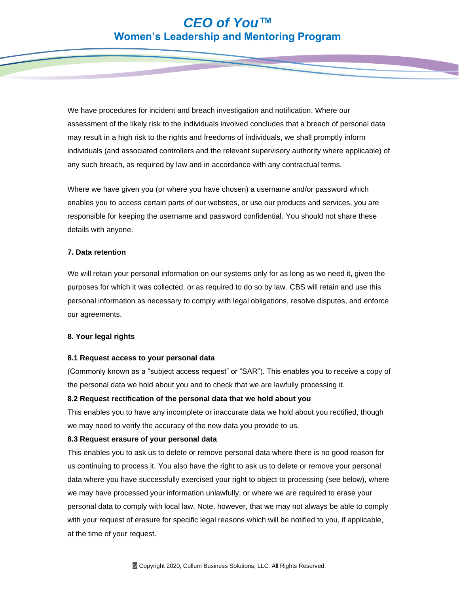We have procedures for incident and breach investigation and notification. Where our assessment of the likely risk to the individuals involved concludes that a breach of personal data may result in a high risk to the rights and freedoms of individuals, we shall promptly inform individuals (and associated controllers and the relevant supervisory authority where applicable) of any such breach, as required by law and in accordance with any contractual terms.

Where we have given you (or where you have chosen) a username and/or password which enables you to access certain parts of our websites, or use our products and services, you are responsible for keeping the username and password confidential. You should not share these details with anyone.

### **7. Data retention**

We will retain your personal information on our systems only for as long as we need it, given the purposes for which it was collected, or as required to do so by law. CBS will retain and use this personal information as necessary to comply with legal obligations, resolve disputes, and enforce our agreements.

### **8. Your legal rights**

#### **8.1 Request access to your personal data**

(Commonly known as a "subject access request" or "SAR"). This enables you to receive a copy of the personal data we hold about you and to check that we are lawfully processing it.

#### **8.2 Request rectification of the personal data that we hold about you**

This enables you to have any incomplete or inaccurate data we hold about you rectified, though we may need to verify the accuracy of the new data you provide to us.

### **8.3 Request erasure of your personal data**

This enables you to ask us to delete or remove personal data where there is no good reason for us continuing to process it. You also have the right to ask us to delete or remove your personal data where you have successfully exercised your right to object to processing (see below), where we may have processed your information unlawfully, or where we are required to erase your personal data to comply with local law. Note, however, that we may not always be able to comply with your request of erasure for specific legal reasons which will be notified to you, if applicable, at the time of your request.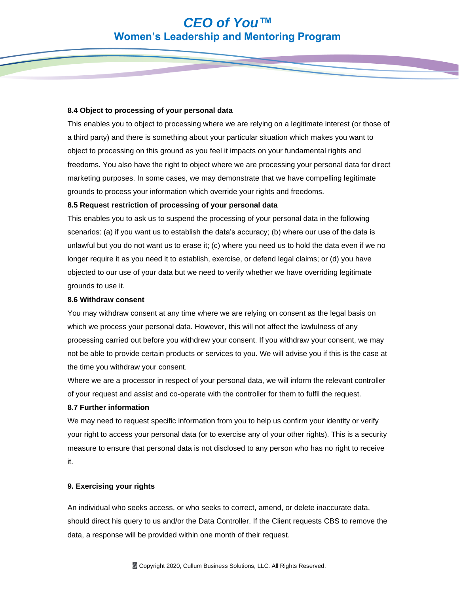#### **8.4 Object to processing of your personal data**

This enables you to object to processing where we are relying on a legitimate interest (or those of a third party) and there is something about your particular situation which makes you want to object to processing on this ground as you feel it impacts on your fundamental rights and freedoms. You also have the right to object where we are processing your personal data for direct marketing purposes. In some cases, we may demonstrate that we have compelling legitimate grounds to process your information which override your rights and freedoms.

### **8.5 Request restriction of processing of your personal data**

This enables you to ask us to suspend the processing of your personal data in the following scenarios: (a) if you want us to establish the data's accuracy; (b) where our use of the data is unlawful but you do not want us to erase it; (c) where you need us to hold the data even if we no longer require it as you need it to establish, exercise, or defend legal claims; or (d) you have objected to our use of your data but we need to verify whether we have overriding legitimate grounds to use it.

#### **8.6 Withdraw consent**

You may withdraw consent at any time where we are relying on consent as the legal basis on which we process your personal data. However, this will not affect the lawfulness of any processing carried out before you withdrew your consent. If you withdraw your consent, we may not be able to provide certain products or services to you. We will advise you if this is the case at the time you withdraw your consent.

Where we are a processor in respect of your personal data, we will inform the relevant controller of your request and assist and co-operate with the controller for them to fulfil the request.

### **8.7 Further information**

We may need to request specific information from you to help us confirm your identity or verify your right to access your personal data (or to exercise any of your other rights). This is a security measure to ensure that personal data is not disclosed to any person who has no right to receive it.

### **9. Exercising your rights**

An individual who seeks access, or who seeks to correct, amend, or delete inaccurate data, should direct his query to us and/or the Data Controller. If the Client requests CBS to remove the data, a response will be provided within one month of their request.